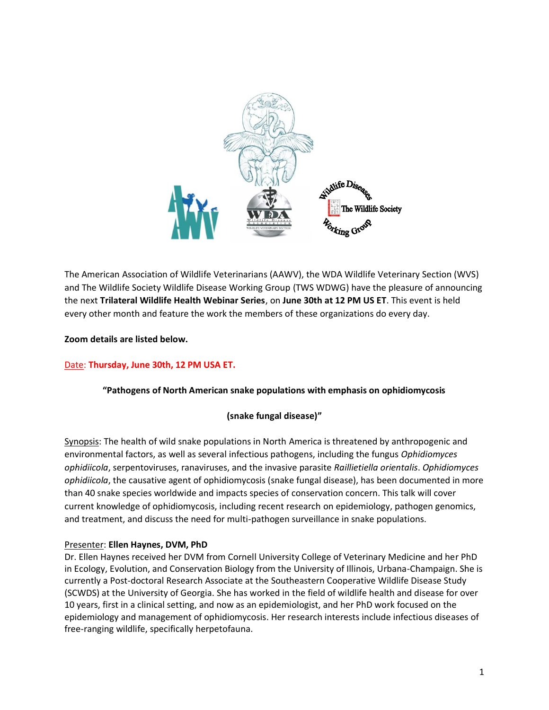

The American Association of Wildlife Veterinarians (AAWV), the WDA Wildlife Veterinary Section (WVS) and The Wildlife Society Wildlife Disease Working Group (TWS WDWG) have the pleasure of announcing the next **Trilateral Wildlife Health Webinar Series**, on **June 30th at 12 PM US ET**. This event is held every other month and feature the work the members of these organizations do every day.

**Zoom details are listed below.**

## Date: **Thursday, June 30th, 12 PM USA ET.**

### **"Pathogens of North American snake populations with emphasis on ophidiomycosis**

### **(snake fungal disease)"**

Synopsis: The health of wild snake populations in North America is threatened by anthropogenic and environmental factors, as well as several infectious pathogens, including the fungus *Ophidiomyces ophidiicola*, serpentoviruses, ranaviruses, and the invasive parasite *Raillietiella orientalis*. *Ophidiomyces ophidiicola*, the causative agent of ophidiomycosis (snake fungal disease), has been documented in more than 40 snake species worldwide and impacts species of conservation concern. This talk will cover current knowledge of ophidiomycosis, including recent research on epidemiology, pathogen genomics, and treatment, and discuss the need for multi-pathogen surveillance in snake populations.

### Presenter: **Ellen Haynes, DVM, PhD**

Dr. Ellen Haynes received her DVM from Cornell University College of Veterinary Medicine and her PhD in Ecology, Evolution, and Conservation Biology from the University of Illinois, Urbana-Champaign. She is currently a Post-doctoral Research Associate at the Southeastern Cooperative Wildlife Disease Study (SCWDS) at the University of Georgia. She has worked in the field of wildlife health and disease for over 10 years, first in a clinical setting, and now as an epidemiologist, and her PhD work focused on the epidemiology and management of ophidiomycosis. Her research interests include infectious diseases of free-ranging wildlife, specifically herpetofauna.